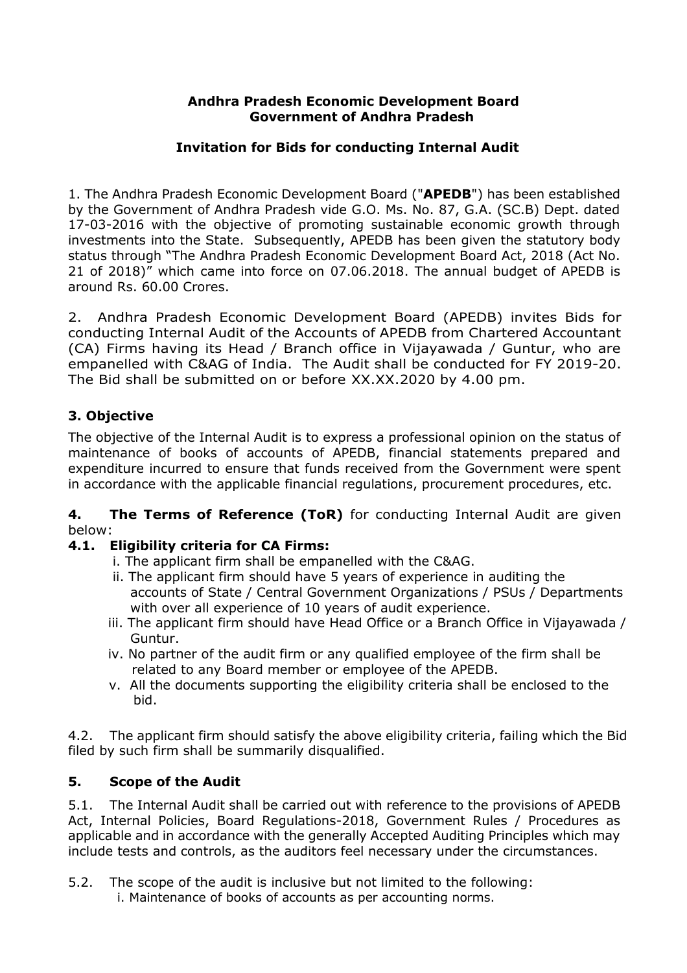### **Andhra Pradesh Economic Development Board Government of Andhra Pradesh**

## **Invitation for Bids for conducting Internal Audit**

1. The Andhra Pradesh Economic Development Board ("**APEDB**") has been established by the Government of Andhra Pradesh vide G.O. Ms. No. 87, G.A. (SC.B) Dept. dated 17-03-2016 with the objective of promoting sustainable economic growth through investments into the State. Subsequently, APEDB has been given the statutory body status through "The Andhra Pradesh Economic Development Board Act, 2018 (Act No. 21 of 2018)" which came into force on 07.06.2018. The annual budget of APEDB is around Rs. 60.00 Crores.

2. Andhra Pradesh Economic Development Board (APEDB) invites Bids for conducting Internal Audit of the Accounts of APEDB from Chartered Accountant (CA) Firms having its Head / Branch office in Vijayawada / Guntur, who are empanelled with C&AG of India. The Audit shall be conducted for FY 2019-20. The Bid shall be submitted on or before XX.XX.2020 by 4.00 pm.

# **3. Objective**

The objective of the Internal Audit is to express a professional opinion on the status of maintenance of books of accounts of APEDB, financial statements prepared and expenditure incurred to ensure that funds received from the Government were spent in accordance with the applicable financial regulations, procurement procedures, etc.

#### **4. The Terms of Reference (ToR)** for conducting Internal Audit are given below:

### **4.1. Eligibility criteria for CA Firms:**

- i. The applicant firm shall be empanelled with the C&AG.
- ii. The applicant firm should have 5 years of experience in auditing the accounts of State / Central Government Organizations / PSUs / Departments with over all experience of 10 years of audit experience.
- iii. The applicant firm should have Head Office or a Branch Office in Vijayawada / Guntur.
- iv. No partner of the audit firm or any qualified employee of the firm shall be related to any Board member or employee of the APEDB.
- v. All the documents supporting the eligibility criteria shall be enclosed to the bid.

4.2. The applicant firm should satisfy the above eligibility criteria, failing which the Bid filed by such firm shall be summarily disqualified.

### **5. Scope of the Audit**

5.1. The Internal Audit shall be carried out with reference to the provisions of APEDB Act, Internal Policies, Board Regulations-2018, Government Rules / Procedures as applicable and in accordance with the generally Accepted Auditing Principles which may include tests and controls, as the auditors feel necessary under the circumstances.

- 5.2. The scope of the audit is inclusive but not limited to the following:
	- i. Maintenance of books of accounts as per accounting norms.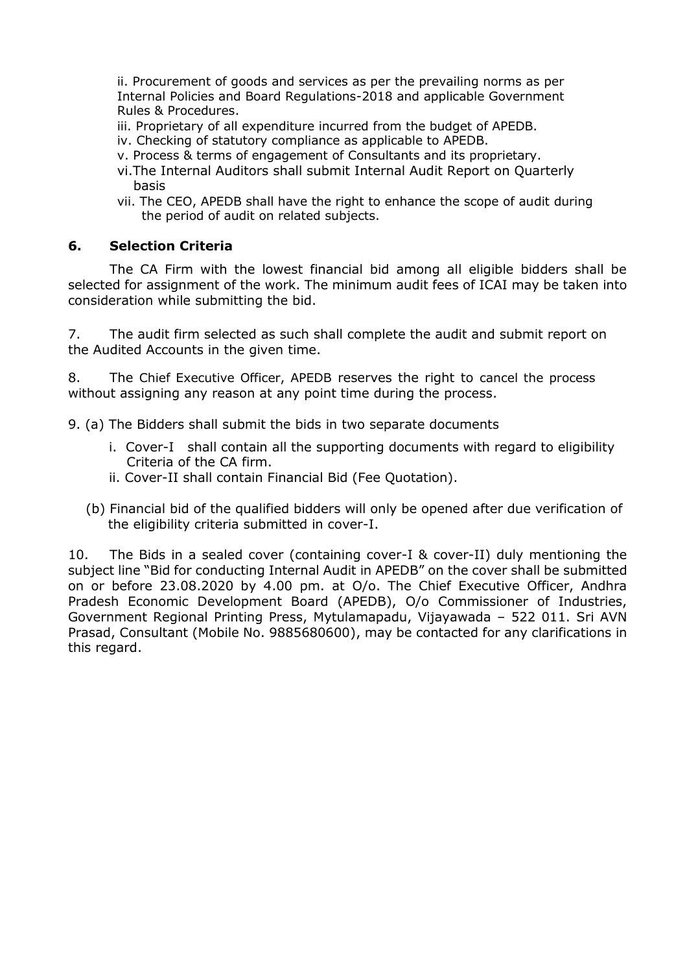ii. Procurement of goods and services as per the prevailing norms as per Internal Policies and Board Regulations-2018 and applicable Government Rules & Procedures.

- iii. Proprietary of all expenditure incurred from the budget of APEDB.
- iv. Checking of statutory compliance as applicable to APEDB.
- v. Process & terms of engagement of Consultants and its proprietary.
- vi.The Internal Auditors shall submit Internal Audit Report on Quarterly basis
- vii. The CEO, APEDB shall have the right to enhance the scope of audit during the period of audit on related subjects.

#### **6. Selection Criteria**

 The CA Firm with the lowest financial bid among all eligible bidders shall be selected for assignment of the work. The minimum audit fees of ICAI may be taken into consideration while submitting the bid.

7. The audit firm selected as such shall complete the audit and submit report on the Audited Accounts in the given time.

8. The Chief Executive Officer, APEDB reserves the right to cancel the process without assigning any reason at any point time during the process.

9. (a) The Bidders shall submit the bids in two separate documents

- i. Cover-I shall contain all the supporting documents with regard to eligibility Criteria of the CA firm.
- ii. Cover-II shall contain Financial Bid (Fee Quotation).
- (b) Financial bid of the qualified bidders will only be opened after due verification of the eligibility criteria submitted in cover-I.

10. The Bids in a sealed cover (containing cover-I & cover-II) duly mentioning the subject line "Bid for conducting Internal Audit in APEDB" on the cover shall be submitted on or before 23.08.2020 by 4.00 pm. at O/o. The Chief Executive Officer, Andhra Pradesh Economic Development Board (APEDB), O/o Commissioner of Industries, Government Regional Printing Press, Mytulamapadu, Vijayawada – 522 011. Sri AVN Prasad, Consultant (Mobile No. 9885680600), may be contacted for any clarifications in this regard.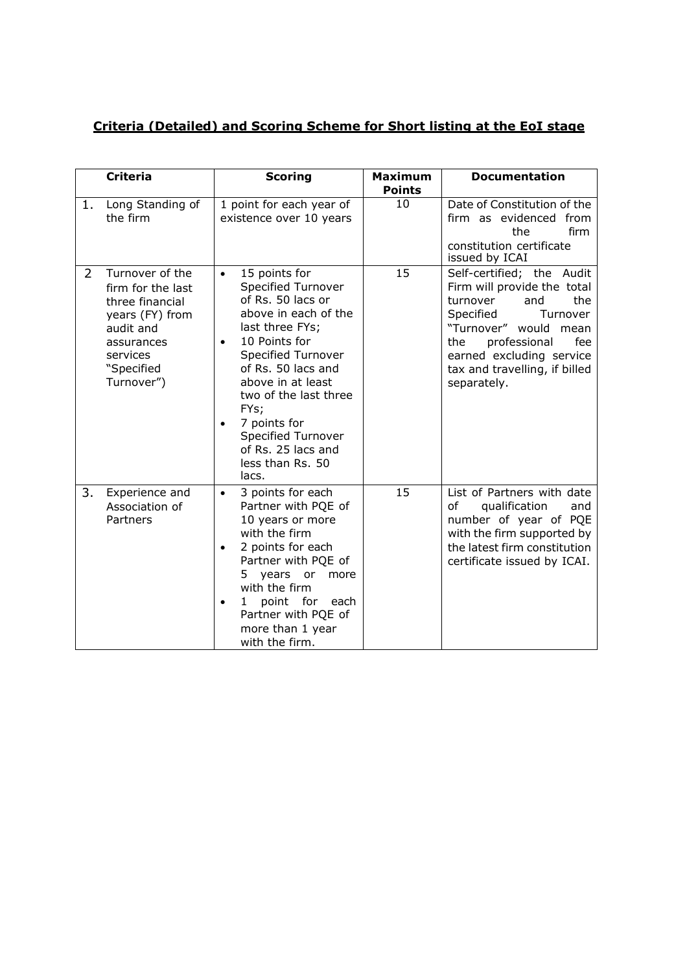# **Criteria (Detailed) and Scoring Scheme for Short listing at the EoI stage**

|    | <b>Criteria</b>                                                                                                                               | <b>Scoring</b>                                                                                                                                                                                                                                                                                                                                   | <b>Maximum</b><br><b>Points</b> | <b>Documentation</b>                                                                                                                                                                                                                              |
|----|-----------------------------------------------------------------------------------------------------------------------------------------------|--------------------------------------------------------------------------------------------------------------------------------------------------------------------------------------------------------------------------------------------------------------------------------------------------------------------------------------------------|---------------------------------|---------------------------------------------------------------------------------------------------------------------------------------------------------------------------------------------------------------------------------------------------|
| 1. | Long Standing of<br>the firm                                                                                                                  | 1 point for each year of<br>existence over 10 years                                                                                                                                                                                                                                                                                              | 10                              | Date of Constitution of the<br>firm as evidenced from<br>the<br>firm<br>constitution certificate<br>issued by ICAI                                                                                                                                |
| 2  | Turnover of the<br>firm for the last<br>three financial<br>years (FY) from<br>audit and<br>assurances<br>services<br>"Specified<br>Turnover") | 15 points for<br>$\bullet$<br>Specified Turnover<br>of Rs. 50 lacs or<br>above in each of the<br>last three FYs;<br>10 Points for<br>$\bullet$<br><b>Specified Turnover</b><br>of Rs. 50 lacs and<br>above in at least<br>two of the last three<br>FYs;<br>7 points for<br>Specified Turnover<br>of Rs. 25 lacs and<br>less than Rs. 50<br>lacs. | 15                              | Self-certified; the Audit<br>Firm will provide the total<br>turnover<br>the<br>and<br>Specified<br>Turnover<br>"Turnover" would<br>mean<br>the<br>professional<br>fee<br>earned excluding service<br>tax and travelling, if billed<br>separately. |
| 3. | Experience and<br>Association of<br>Partners                                                                                                  | 3 points for each<br>$\bullet$<br>Partner with PQE of<br>10 years or more<br>with the firm<br>2 points for each<br>$\bullet$<br>Partner with PQE of<br>years<br>5.<br>or<br>more<br>with the firm<br>point for each<br>1<br>٠<br>Partner with PQE of<br>more than 1 year<br>with the firm.                                                       | 15                              | List of Partners with date<br>qualification<br>of<br>and<br>number of year of PQE<br>with the firm supported by<br>the latest firm constitution<br>certificate issued by ICAI.                                                                    |